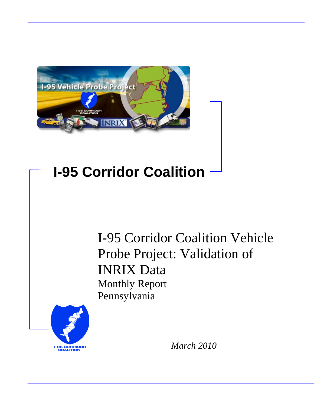

## **I-95 Corridor Coalition**

I-95 Corridor Coalition Vehicle Probe Project: Validation of INRIX Data Monthly Report Pennsylvania



*March 2010*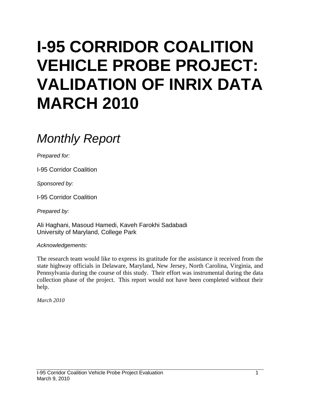# **I-95 CORRIDOR COALITION VEHICLE PROBE PROJECT: VALIDATION OF INRIX DATA MARCH 2010**

## *Monthly Report*

*Prepared for:* 

I-95 Corridor Coalition

*Sponsored by:* 

I-95 Corridor Coalition

*Prepared by:* 

Ali Haghani, Masoud Hamedi, Kaveh Farokhi Sadabadi University of Maryland, College Park

*Acknowledgements:* 

The research team would like to express its gratitude for the assistance it received from the state highway officials in Delaware, Maryland, New Jersey, North Carolina, Virginia, and Pennsylvania during the course of this study. Their effort was instrumental during the data collection phase of the project. This report would not have been completed without their help.

*March 2010*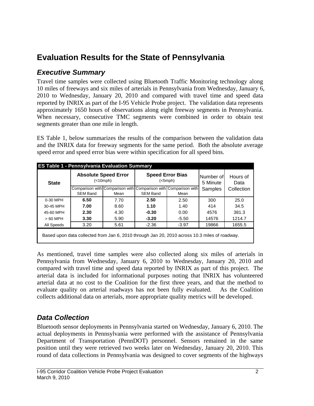## **Evaluation Results for the State of Pennsylvania**

### *Executive Summary*

Travel time samples were collected using Bluetooth Traffic Monitoring technology along 10 miles of freeways and six miles of arterials in Pennsylvania from Wednesday, January 6, 2010 to Wednesday, January 20, 2010 and compared with travel time and speed data reported by INRIX as part of the I-95 Vehicle Probe project. The validation data represents approximately 1650 hours of observations along eight freeway segments in Pennsylvania. When necessary, consecutive TMC segments were combined in order to obtain test segments greater than one mile in length.

ES Table 1, below summarizes the results of the comparison between the validation data and the INRIX data for freeway segments for the same period. Both the absolute average speed error and speed error bias were within specification for all speed bins.

|              | <b>ES Table 1 - Pennsylvania Evaluation Summary</b>                                           |                                          |                 |                                     |                       |                  |  |  |  |  |  |
|--------------|-----------------------------------------------------------------------------------------------|------------------------------------------|-----------------|-------------------------------------|-----------------------|------------------|--|--|--|--|--|
| <b>State</b> |                                                                                               | <b>Absolute Speed Error</b><br>(<10 mph) |                 | <b>Speed Error Bias</b><br>(<5 mph) | Number of<br>5 Minute | Hours of<br>Data |  |  |  |  |  |
|              | Comparison with Comparison with Comparison with Comparison with                               |                                          |                 |                                     | Samples               | Collection       |  |  |  |  |  |
|              | <b>SEM Band</b>                                                                               | Mean                                     | <b>SEM Band</b> | Mean                                |                       |                  |  |  |  |  |  |
| 0-30 MPH     | 6.50                                                                                          | 7.70                                     | 2.50            | 2.50                                | 300                   | 25.0             |  |  |  |  |  |
| 30-45 MPH    | 7.00                                                                                          | 8.60                                     | 1.10            | 1.40                                | 414                   | 34.5             |  |  |  |  |  |
| 45-60 MPH    | 2.30                                                                                          | 4.30                                     | $-0.30$         | 0.00                                | 4576                  | 381.3            |  |  |  |  |  |
| $>60$ MPH    | 3.30                                                                                          | 5.90                                     | $-3.20$         | $-5.50$                             | 14576                 | 1214.7           |  |  |  |  |  |
| All Speeds   | 3.20                                                                                          | 5.61                                     | $-2.36$         | $-3.97$                             | 19866                 | 1655.5           |  |  |  |  |  |
|              | Based upon data collected from Jan 6, 2010 through Jan 20, 2010 across 10.3 miles of roadway. |                                          |                 |                                     |                       |                  |  |  |  |  |  |

As mentioned, travel time samples were also collected along six miles of arterials in Pennsylvania from Wednesday, January 6, 2010 to Wednesday, January 20, 2010 and compared with travel time and speed data reported by INRIX as part of this project. The arterial data is included for informational purposes noting that INRIX has volunteered arterial data at no cost to the Coalition for the first three years, and that the method to evaluate quality on arterial roadways has not been fully evaluated. As the Coalition collects additional data on arterials, more appropriate quality metrics will be developed.

## *Data Collection*

Bluetooth sensor deployments in Pennsylvania started on Wednesday, January 6, 2010. The actual deployments in Pennsylvania were performed with the assistance of Pennsylvania Department of Transportation (PennDOT) personnel. Sensors remained in the same position until they were retrieved two weeks later on Wednesday, January 20, 2010. This round of data collections in Pennsylvania was designed to cover segments of the highways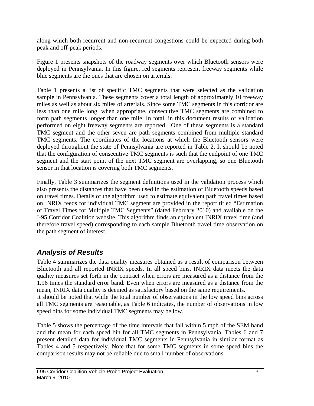along which both recurrent and non-recurrent congestions could be expected during both peak and off-peak periods.

Figure 1 presents snapshots of the roadway segments over which Bluetooth sensors were deployed in Pennsylvania. In this figure, red segments represent freeway segments while blue segments are the ones that are chosen on arterials.

Table 1 presents a list of specific TMC segments that were selected as the validation sample in Pennsylvania. These segments cover a total length of approximately 10 freeway miles as well as about six miles of arterials. Since some TMC segments in this corridor are less than one mile long, when appropriate, consecutive TMC segments are combined to form path segments longer than one mile. In total, in this document results of validation performed on eight freeway segments are reported. One of these segments is a standard TMC segment and the other seven are path segments combined from multiple standard TMC segments. The coordinates of the locations at which the Bluetooth sensors were deployed throughout the state of Pennsylvania are reported in Table 2. It should be noted that the configuration of consecutive TMC segments is such that the endpoint of one TMC segment and the start point of the next TMC segment are overlapping, so one Bluetooth sensor in that location is covering both TMC segments.

Finally, Table 3 summarizes the segment definitions used in the validation process which also presents the distances that have been used in the estimation of Bluetooth speeds based on travel times. Details of the algorithm used to estimate equivalent path travel times based on INRIX feeds for individual TMC segment are provided in the report titled "Estimation of Travel Times for Multiple TMC Segments" (dated February 2010) and available on the I-95 Corridor Coalition website. This algorithm finds an equivalent INRIX travel time (and therefore travel speed) corresponding to each sample Bluetooth travel time observation on the path segment of interest.

## *Analysis of Results*

Table 4 summarizes the data quality measures obtained as a result of comparison between Bluetooth and all reported INRIX speeds. In all speed bins, INRIX data meets the data quality measures set forth in the contract when errors are measured as a distance from the 1.96 times the standard error band. Even when errors are measured as a distance from the mean, INRIX data quality is deemed as satisfactory based on the same requirements. It should be noted that while the total number of observations in the low speed bins across all TMC segments are reasonable, as Table 6 indicates, the number of observations in low speed bins for some individual TMC segments may be low.

Table 5 shows the percentage of the time intervals that fall within 5 mph of the SEM band and the mean for each speed bin for all TMC segments in Pennsylvania. Tables 6 and 7 present detailed data for individual TMC segments in Pennsylvania in similar format as Tables 4 and 5 respectively. Note that for some TMC segments in some speed bins the comparison results may not be reliable due to small number of observations.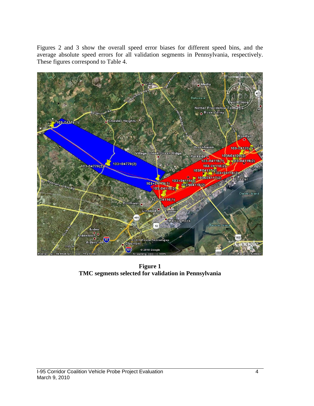Figures 2 and 3 show the overall speed error biases for different speed bins, and the average absolute speed errors for all validation segments in Pennsylvania, respectively. These figures correspond to Table 4.



**Figure 1 TMC segments selected for validation in Pennsylvania**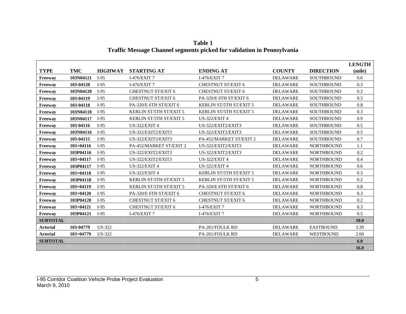|                 |               |                |                                |                                |                 |                   | <b>LENGTH</b> |
|-----------------|---------------|----------------|--------------------------------|--------------------------------|-----------------|-------------------|---------------|
| <b>TYPE</b>     | <b>TMC</b>    | <b>HIGHWAY</b> | <b>STARTING AT</b>             | <b>ENDING AT</b>               | <b>COUNTY</b>   | <b>DIRECTION</b>  | (mile)        |
| Freeway         | 103N04121     | $I-95$         | I-476/EXIT 7                   | I-476/EXIT 7                   | <b>DELAWARE</b> | <b>SOUTHBOUND</b> | 0.6           |
| Freeway         | 103-04120     | $I-95$         | I-476/EXIT $7$                 | <b>CHESTNUT ST/EXIT 6</b>      | <b>DELAWARE</b> | <b>SOUTHBOUND</b> | 0.3           |
| Freeway         | 103N04120     | $I-95$         | <b>CHESTNUT ST/EXIT 6</b>      | <b>CHESTNUT ST/EXIT 6</b>      | <b>DELAWARE</b> | <b>SOUTHBOUND</b> | 0.2           |
| Freeway         | 103-04119     | $I-95$         | <b>CHESTNUT ST/EXIT 6</b>      | PA-320/E 6TH ST/EXIT 6         | <b>DELAWARE</b> | <b>SOUTHBOUND</b> | 0.3           |
| Freeway         | 103-04118     | $I-95$         | PA-320/E 6TH ST/EXIT 6         | <b>KERLIN ST/5TH ST/EXIT 5</b> | <b>DELAWARE</b> | <b>SOUTHBOUND</b> | 0.8           |
| Freeway         | 103N04118     | $I-95$         | KERLIN ST/5TH ST/EXIT 5        | KERLIN ST/5TH ST/EXIT 5        | <b>DELAWARE</b> | <b>SOUTHBOUND</b> | 0.3           |
| Freeway         | 103N04117     | $I-95$         | <b>KERLIN ST/5TH ST/EXIT 5</b> | <b>US-322/EXIT 4</b>           | <b>DELAWARE</b> | <b>SOUTHBOUND</b> | 0.9           |
| Freeway         | 103-04116     | $I-95$         | <b>US-322/EXIT 4</b>           | US-322/EXIT2/EXIT3             | <b>DELAWARE</b> | <b>SOUTHBOUND</b> | 0.5           |
| Freeway         | 103N04116     | $I-95$         | US-322/EXIT2/EXIT3             | US-322/EXIT2/EXIT3             | <b>DELAWARE</b> | <b>SOUTHBOUND</b> | 0.5           |
| Freeway         | 103-04115     | $I-95$         | US-322/EXIT2/EXIT3             | PA-452/MARKET ST/EXIT 2        | <b>DELAWARE</b> | <b>SOUTHBOUND</b> | 0.7           |
| Freeway         | $103 + 04116$ | $I-95$         | PA-452/MARKET ST/EXIT 2        | US-322/EXIT2/EXIT3             | <b>DELAWARE</b> | <b>NORTHBOUND</b> | 1.1           |
| Freeway         | 103P04116     | $I-95$         | US-322/EXIT2/EXIT3             | US-322/EXIT2/EXIT3             | <b>DELAWARE</b> | <b>NORTHBOUND</b> | 0.2           |
| Freeway         | $103 + 04117$ | $I-95$         | US-322/EXIT2/EXIT3             | <b>US-322/EXIT 4</b>           | <b>DELAWARE</b> | <b>NORTHBOUND</b> | 0.4           |
| Freeway         | 103P04117     | $I-95$         | <b>US-322/EXIT 4</b>           | <b>US-322/EXIT 4</b>           | <b>DELAWARE</b> | <b>NORTHBOUND</b> | 0.6           |
| Freeway         | $103 + 04118$ | $I-95$         | <b>US-322/EXIT 4</b>           | KERLIN ST/5TH ST/EXIT 5        | <b>DELAWARE</b> | <b>NORTHBOUND</b> | 0.3           |
| Freeway         | 103P04118     | $I-95$         | KERLIN ST/5TH ST/EXIT 5        | <b>KERLIN ST/5TH ST/EXIT 5</b> | <b>DELAWARE</b> | <b>NORTHBOUND</b> | 0.2           |
| Freeway         | $103 + 04119$ | $I-95$         | KERLIN ST/5TH ST/EXIT 5        | PA-320/E 6TH ST/EXIT 6         | <b>DELAWARE</b> | <b>NORTHBOUND</b> | 0.8           |
| Freeway         | $103+04120$   | $I-95$         | PA-320/E 6TH ST/EXIT 6         | <b>CHESTNUT ST/EXIT 6</b>      | <b>DELAWARE</b> | <b>NORTHBOUND</b> | 0.3           |
| Freeway         | 103P04120     | $I-95$         | <b>CHESTNUT ST/EXIT 6</b>      | <b>CHESTNUT ST/EXIT 6</b>      | <b>DELAWARE</b> | <b>NORTHBOUND</b> | 0.2           |
| Freeway         | $103 + 04121$ | $I-95$         | <b>CHESTNUT ST/EXIT 6</b>      | I-476/EXIT 7                   | <b>DELAWARE</b> | <b>NORTHBOUND</b> | 0.3           |
| Freeway         | 103P04121     | $I-95$         | I-476/EXIT 7                   | I-476/EXIT 7                   | <b>DELAWARE</b> | <b>NORTHBOUND</b> | 0.5           |
| <b>SUBTOTAL</b> |               |                |                                |                                |                 |                   | <b>10.0</b>   |
| <b>Arterial</b> | 103-04779     | US-322         |                                | PA-261/FOULK RD                | <b>DELAWARE</b> | <b>EASTBOUND</b>  | 3.39          |
| <b>Arterial</b> | $103 + 04779$ | US-322         |                                | PA-261/FOULK RD                | <b>DELAWARE</b> | <b>WESTBOUND</b>  | 2.60          |
| <b>SUBTOTAL</b> |               |                |                                |                                |                 |                   | 6.0           |
|                 |               |                |                                |                                |                 |                   | 16.0          |

**Table 1 Traffic Message Channel segments picked for validation in Pennsylvania**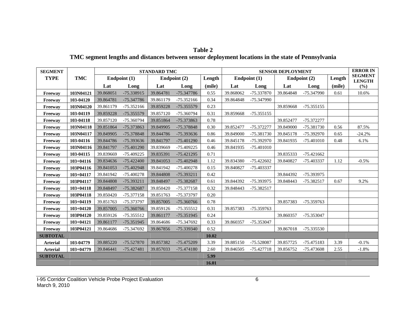#### **Table 2**

#### **TMC segment lengths and distances between sensor deployment locations in the state of Pennsylvania**

| <b>SEGMENT</b>  |               |           |                | <b>STANDARD TMC</b> |              |        |           |              | <b>SENSOR DEPLOYMENT</b> |                |        | <b>ERROR IN</b>                 |
|-----------------|---------------|-----------|----------------|---------------------|--------------|--------|-----------|--------------|--------------------------|----------------|--------|---------------------------------|
| <b>TYPE</b>     | <b>TMC</b>    |           | Endpoint $(1)$ |                     | Endpoint (2) | Length |           | Endpoint (1) |                          | Endpoint $(2)$ | Length | <b>SEGMENT</b><br><b>LENGTH</b> |
|                 |               | Lat       | Long           | Lat                 | Long         | (mile) | Lat       | Long         | Lat                      | Long           | (mile) | (%)                             |
| Freeway         | 103N04121     | 39.868051 | -75.338915     | 39.864781           | -75.347786   | 0.55   | 39.868062 | -75.337870   | 39.864848                | -75.347990     | 0.61   | 10.6%                           |
| Freeway         | 103-04120     | 39.864781 | -75.347786     | 39.861179           | -75.352166   | 0.34   | 39.864848 | -75.347990   |                          |                |        |                                 |
| Freeway         | 103N04120     | 39.861179 | -75.352166     | 39.859228           | -75.355579   | 0.23   |           |              | 39.859668                | $-75.355155$   |        |                                 |
| Freeway         | 103-04119     | 39.859228 | -75.355579     | 39.857120           | -75.360794   | 0.31   | 39.859668 | $-75.355155$ |                          |                |        |                                 |
| Freeway         | 103-04118     | 39.857120 | -75.360794     | 39.851864           | -75.373863   | 0.78   |           |              | 39.852477                | -75.372277     |        |                                 |
| Freeway         | 103N04118     | 39.851864 | -75.373863     | 39.849905           | -75.378848   | 0.30   | 39.852477 | -75.372277   | 39.849000                | -75.381730     | 0.56   | 87.5%                           |
| Freeway         | 103N04117     | 39.849905 | -75.378848     | 39.844786           | -75.393636   | 0.86   | 39.849000 | -75.381730   | 39.845178                | -75.392970     | 0.65   | $-24.2%$                        |
| Freeway         | 103-04116     | 39.844786 | -75.393636     | 39.841797           | $-75.401290$ | 0.46   | 39.845178 | -75.392970   | 39.841935                | $-75.401010$   | 0.48   | 6.1%                            |
| Freeway         | 103N04116     | 39.841797 | $-75.401290$   | 39.839669           | -75.409225   | 0.46   | 39.841935 | $-75.401010$ |                          |                |        |                                 |
| Freeway         | 103-04115     | 39.839669 | -75.409225     | 39.835391           | $-75.421295$ | 0.71   |           |              | 39.835333                | $-75.421662$   |        |                                 |
| Freeway         | $103+04116$   | 39.834636 | $-75.422400$   | 39.841053           | $-75.402948$ | 1.12   | 39.834380 | $-75.422602$ | 39.840827                | -75.403337     | 1.12   | $-0.5%$                         |
| Freeway         | 103P04116     | 39.841053 | $-75.402948$   | 39.841942           | $-75.400278$ | 0.15   | 39.840827 | -75.403337   |                          |                |        |                                 |
| Freeway         | $103 + 04117$ | 39.841942 | $-75.400278$   | 39.844808           | -75.393211   | 0.42   |           |              | 39.844392                | -75.393975     |        |                                 |
| Freeway         | 103P04117     | 39.844808 | -75.393211     | 39.848497           | -75.382687   | 0.61   | 39.844392 | -75.393975   | 39.848443                | -75.382517     | 0.67   | 9.2%                            |
| Freeway         | $103 + 04118$ | 39.848497 | -75.382687     | 39.850420           | $-75.377158$ | 0.32   | 39.848443 | $-75.382517$ |                          |                |        |                                 |
| Freeway         | 103P04118     | 39.850420 | -75.377158     | 39.851763           | -75.373797   | 0.20   |           |              |                          |                |        |                                 |
| Freeway         | $103 + 04119$ | 39.851763 | -75.373797     | 39.857005           | -75.360766   | 0.78   |           |              | 39.857383                | -75.359763     |        |                                 |
| Freeway         | $103 + 04120$ | 39.857005 | -75.360766     | 39.859126           | $-75.355512$ | 0.31   | 39.857383 | -75.359763   |                          |                |        |                                 |
| Freeway         | 103P04120     | 39.859126 | -75.355512     | 39.861177           | $-75.351945$ | 0.24   |           |              | 39.860357                | -75.353047     |        |                                 |
| Freeway         | $103+04121$   | 39.861177 | $-75.351945$   | 39.864686           | -75.347692   | 0.33   | 39.860357 | -75.353047   |                          |                |        |                                 |
| Freeway         | 103P04121     | 39.864686 | -75.347692     | 39.867856           | -75.339340   | 0.52   |           |              | 39.867018                | -75.335530     |        |                                 |
| <b>SUBTOTAL</b> |               |           |                |                     |              | 10.02  |           |              |                          |                |        |                                 |
| <b>Arterial</b> | 103-04779     | 39.885220 | -75.527870     | 39.857382           | -75.475209   | 3.39   | 39.885150 | -75.528087   | 39.857725                | -75.475183     | 3.39   | $-0.1%$                         |
| <b>Arterial</b> | $103 + 04779$ | 39.846441 | $-75.427481$   | 39.857033           | $-75.474180$ | 2.60   | 39.846505 | $-75.427718$ | 39.856752                | -75.473608     | 2.55   | $-1.8%$                         |
| <b>SUBTOTAL</b> |               |           |                |                     |              | 5.99   |           |              |                          |                |        |                                 |
|                 |               |           |                |                     |              | 16.01  |           |              |                          |                |        |                                 |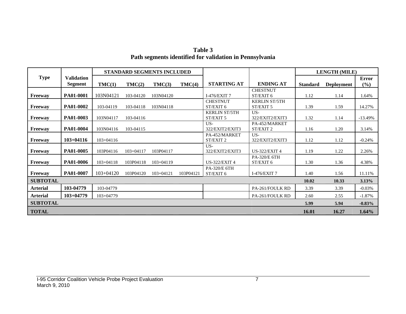| Table 3                                                 |
|---------------------------------------------------------|
| Path segments identified for validation in Pennsylvania |

|                 |                                     |               | <b>STANDARD SEGMENTS INCLUDED</b> |               |           |                      |                              |                 | <b>LENGTH (MILE)</b> |                     |
|-----------------|-------------------------------------|---------------|-----------------------------------|---------------|-----------|----------------------|------------------------------|-----------------|----------------------|---------------------|
| <b>Type</b>     | <b>Validation</b><br><b>Segment</b> |               | TMC(2)                            | TMC(3)        | TMC(4)    | <b>STARTING AT</b>   | <b>ENDING AT</b>             | <b>Standard</b> |                      | <b>Error</b><br>(%) |
|                 |                                     | TMC(1)        |                                   |               |           |                      |                              |                 | <b>Deployment</b>    |                     |
| Freeway         | PA01-0001                           | 103N04121     | 103-04120                         | 103N04120     |           | $I-476/EXIT7$        | <b>CHESTNUT</b><br>ST/EXIT 6 | 1.12            | 1.14                 | 1.64%               |
|                 |                                     |               |                                   |               |           | <b>CHESTNUT</b>      | <b>KERLIN ST/5TH</b>         |                 |                      |                     |
| Freeway         | PA01-0002                           | 103-04119     | 103-04118                         | 103N04118     |           | ST/EXIT 6            | ST/EXIT 5                    | 1.39            | 1.59                 | 14.27%              |
|                 |                                     |               |                                   |               |           | <b>KERLIN ST/5TH</b> | US-                          |                 |                      |                     |
| Freeway         | PA01-0003                           | 103N04117     | 103-04116                         |               |           | ST/EXIT 5            | 322/EXIT2/EXIT3              | 1.32            | 1.14                 | $-13.49%$           |
|                 |                                     |               |                                   |               |           | US-                  | PA-452/MARKET                |                 |                      |                     |
| Freeway         | <b>PA01-0004</b>                    | 103N04116     | 103-04115                         |               |           | 322/EXIT2/EXIT3      | ST/EXIT <sub>2</sub>         | 1.16            | 1.20                 | 3.14%               |
|                 |                                     |               |                                   |               |           | PA-452/MARKET        | US-                          |                 |                      |                     |
| Freeway         | $103 + 04116$                       | $103 + 04116$ |                                   |               |           | ST/EXIT 2            | 322/EXIT2/EXIT3              | 1.12            | 1.12                 | $-0.24%$            |
|                 |                                     |               |                                   |               |           | US-                  |                              |                 |                      |                     |
| Freeway         | PA01-0005                           | 103P04116     | $103+04117$                       | 103P04117     |           | 322/EXIT2/EXIT3      | <b>US-322/EXIT 4</b>         | 1.19            | 1.22                 | 2.26%               |
|                 |                                     |               |                                   |               |           |                      | PA-320/E 6TH                 |                 |                      |                     |
| Freeway         | PA01-0006                           | $103 + 04118$ | 103P04118                         | $103 + 04119$ |           | <b>US-322/EXIT 4</b> | ST/EXIT 6                    | 1.30            | 1.36                 | 4.38%               |
|                 |                                     |               |                                   |               |           | PA-320/E 6TH         |                              |                 |                      |                     |
| <b>Freeway</b>  | PA01-0007                           | $103+04120$   | 103P04120                         | $103+04121$   | 103P04121 | ST/EXIT 6            | I-476/EXIT 7                 | 1.40            | 1.56                 | 11.11%              |
| <b>SUBTOTAL</b> |                                     |               |                                   |               |           |                      |                              | 10.02           | 10.33                | 3.13%               |
| <b>Arterial</b> | 103-04779                           | 103-04779     |                                   |               |           |                      | PA-261/FOULK RD              | 3.39            | 3.39                 | $-0.03%$            |
| <b>Arterial</b> | $103+04779$                         | 103+04779     |                                   |               |           |                      | PA-261/FOULK RD              | 2.60            | 2.55                 | $-1.87%$            |
| <b>SUBTOTAL</b> |                                     |               |                                   |               |           |                      |                              | 5.99            | 5.94                 | $-0.83%$            |
| <b>TOTAL</b>    |                                     |               |                                   |               |           |                      |                              | 16.01           | 16.27                | $1.64\%$            |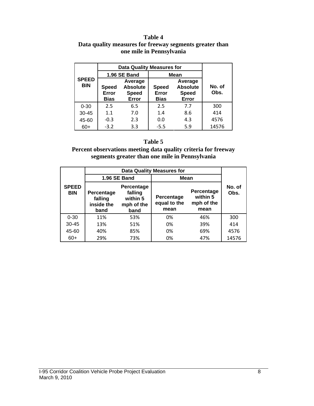#### **Table 4 Data quality measures for freeway segments greater than one mile in Pennsylvania**

|                            | <b>Data Quality Measures for</b>                                                     |              |                                      |                                                     |                |
|----------------------------|--------------------------------------------------------------------------------------|--------------|--------------------------------------|-----------------------------------------------------|----------------|
|                            |                                                                                      | 1.96 SE Band | <b>Mean</b>                          |                                                     |                |
| <b>SPEED</b><br><b>BIN</b> | Average<br><b>Absolute</b><br><b>Speed</b><br>Error<br><b>Speed</b><br>Error<br>Bias |              | <b>Speed</b><br>Error<br><b>Bias</b> | Average<br><b>Absolute</b><br><b>Speed</b><br>Error | No. of<br>Obs. |
| $0 - 30$                   | 2.5                                                                                  | 6.5          | 2.5                                  | 7.7                                                 | 300            |
| $30 - 45$                  | 1.1                                                                                  | 7.0          | 1.4                                  | 8.6                                                 | 414            |
| 45-60                      | $-0.3$                                                                               | 2.3          |                                      | 4.3                                                 | 4576           |
| $60+$                      | $-3.2$                                                                               | 3.3          | $-5.5$                               | 5.9                                                 | 14576          |

#### **Table 5**

**Percent observations meeting data quality criteria for freeway segments greater than one mile in Pennsylvania** 

|                            |                                                                                                        |              | <b>Data Quality Measures for</b>   |                                              |                |
|----------------------------|--------------------------------------------------------------------------------------------------------|--------------|------------------------------------|----------------------------------------------|----------------|
|                            |                                                                                                        | 1.96 SE Band | Mean                               |                                              |                |
| <b>SPEED</b><br><b>BIN</b> | Percentage<br>falling<br>Percentage<br>within 5<br>falling<br>inside the<br>mph of the<br>band<br>band |              | Percentage<br>equal to the<br>mean | Percentage<br>within 5<br>mph of the<br>mean | No. of<br>Obs. |
| $0 - 30$                   | 11%                                                                                                    | 53%          | 0%                                 | 46%                                          | 300            |
| $30 - 45$                  | 13%                                                                                                    | 51%          | 0%                                 | 39%                                          | 414            |
| 45-60                      | 40%                                                                                                    | 85%          |                                    | 69%                                          | 4576           |
| $60+$                      | 29%                                                                                                    | 73%          | 0%                                 | 47%                                          | 14576          |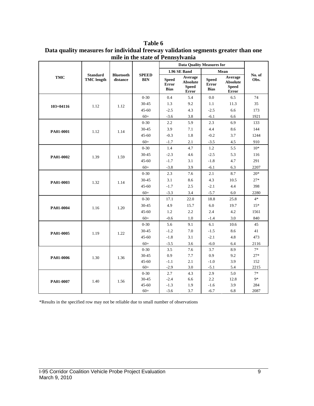**Table 6 Data quality measures for individual freeway validation segments greater than one mile in the state of Pennsylvania** 

|               |                                      |                              |                            |                                             | <b>Data Quality Measures for</b>                    |                                             |                                                     |                |
|---------------|--------------------------------------|------------------------------|----------------------------|---------------------------------------------|-----------------------------------------------------|---------------------------------------------|-----------------------------------------------------|----------------|
|               |                                      |                              |                            |                                             | <b>1.96 SE Band</b>                                 |                                             | Mean                                                |                |
| <b>TMC</b>    | <b>Standard</b><br><b>TMC</b> length | <b>Bluetooth</b><br>distance | <b>SPEED</b><br><b>BIN</b> | <b>Speed</b><br><b>Error</b><br><b>Bias</b> | Average<br><b>Absolute</b><br><b>Speed</b><br>Error | <b>Speed</b><br><b>Error</b><br><b>Bias</b> | Average<br><b>Absolute</b><br><b>Speed</b><br>Error | No. of<br>Obs. |
|               |                                      |                              | $0 - 30$                   | 0.4                                         | 5.4                                                 | 0.0                                         | 6.5                                                 | 74             |
| $103 + 04116$ | 1.12                                 | 1.12                         | 30-45                      | 1.3                                         | 9.2                                                 | 1.1                                         | 11.3                                                | 35             |
|               |                                      |                              | $45 - 60$                  | $-2.5$                                      | 4.3                                                 | $-2.5$                                      | 6.6                                                 | 173            |
|               |                                      |                              | $60+$                      | $-3.6$                                      | 3.8                                                 | $-6.1$                                      | 6.6                                                 | 1921           |
|               |                                      |                              | $0 - 30$                   | 2.2                                         | 5.9                                                 | 2.3                                         | 6.9                                                 | 133            |
| PA01-0001     | 1.12                                 | 1.14                         | 30-45                      | 3.9                                         | 7.1                                                 | 4.4                                         | 8.6                                                 | 144            |
|               |                                      |                              | 45-60                      | $-0.3$                                      | 1.8                                                 | $-0.2$                                      | 3.7                                                 | 1244           |
|               |                                      |                              | $60+$                      | $-1.7$                                      | 2.1                                                 | $-3.5$                                      | 4.5                                                 | 910            |
|               |                                      |                              | $0 - 30$                   | 1.4                                         | 4.7                                                 | 1.2                                         | 5.5                                                 | $10*$          |
| PA01-0002     | 1.39                                 | 1.59                         | 30-45                      | $-2.3$                                      | 4.6                                                 | $-2.5$                                      | 5.3                                                 | 116            |
|               |                                      |                              | 45-60                      | $-1.7$                                      | 3.1                                                 | $-1.8$                                      | 4.7                                                 | 291            |
|               |                                      |                              | $60+$                      | $-3.8$                                      | 3.9                                                 | $-6.1$                                      | 6.3                                                 | 2207           |
|               |                                      |                              | $0 - 30$                   | 2.3                                         | 7.6                                                 | 2.1                                         | 8.7                                                 | $20*$          |
|               | 1.32                                 | 1.14                         | 30-45                      | 3.1                                         | 8.6                                                 | 4.3                                         | 10.5                                                | $27*$          |
| PA01-0003     |                                      |                              | 45-60                      | $-1.7$                                      | 2.5                                                 | $-2.1$                                      | 4.4                                                 | 398            |
|               |                                      |                              | $60+$                      | $-3.3$                                      | 3.4                                                 | $-5.7$                                      | $6.0\,$                                             | 2280           |
|               | 1.16                                 | 1.20                         | $0 - 30$                   | 17.1                                        | 22.0                                                | 18.8                                        | 25.8                                                | $4*$           |
| PA01-0004     |                                      |                              | 30-45                      | 4.9                                         | 15.7                                                | 6.0                                         | 19.7                                                | $15*$          |
|               |                                      |                              | 45-60                      | 1.2                                         | 2.2                                                 | 2.4                                         | 4.2                                                 | 1561           |
|               |                                      |                              | $60+$                      | $-0.6$                                      | $1.0\,$                                             | $-1.4$                                      | 3.0                                                 | 840            |
|               |                                      |                              | $0 - 30$                   | 5.6                                         | 9.1                                                 | 6.1                                         | 10.6                                                | 45             |
| PA01-0005     | 1.19                                 | 1.22                         | 30-45                      | $-1.2$                                      | 7.0                                                 | $-1.5$                                      | 8.6                                                 | 41             |
|               |                                      |                              | $45 - 60$                  | $-1.8$                                      | 3.1                                                 | $-2.1$                                      | 4.8                                                 | 473            |
|               |                                      |                              | $60+$                      | $-3.5$                                      | 3.6                                                 | $-6.0$                                      | 6.4                                                 | 2116           |
|               |                                      |                              | $0 - 30$                   | 3.5                                         | 7.6                                                 | 3.7                                         | 8.9                                                 | $7*$           |
| PA01-0006     | 1.30                                 | 1.36                         | 30-45                      | 0.9                                         | 7.7                                                 | 0.9                                         | 9.2                                                 | $27*$          |
|               |                                      |                              | 45-60                      | $-1.1$                                      | 2.1                                                 | $-1.0$                                      | 3.9                                                 | 152            |
|               |                                      |                              | $60+$                      | $-2.9$                                      | 3.0                                                 | $-5.1$                                      | 5.4                                                 | 2215           |
|               |                                      |                              | $0 - 30$                   | 2.7                                         | 4.3                                                 | 2.9                                         | 5.0                                                 | $7*$           |
| PA01-0007     | 1.40                                 | 1.56                         | $30 - 45$                  | $-2.4$                                      | 6.6                                                 | 2.2                                         | 12.8                                                | 9*             |
|               |                                      |                              | 45-60                      | $-1.3$                                      | 1.9                                                 | $-1.6$                                      | 3.9                                                 | 284            |
|               |                                      |                              | $60+$                      | $-3.6$                                      | 3.7                                                 | $-6.7$                                      | 6.8                                                 | 2087           |

\*Results in the specified row may not be reliable due to small number of observations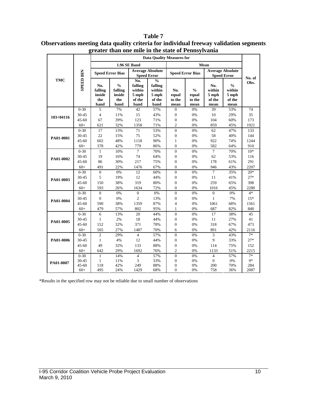|               |                  |                                         |                                                   |                                                       | <b>Data Quality Measures for</b>                                                     |                                |                                          |                                          |                                                      |        |
|---------------|------------------|-----------------------------------------|---------------------------------------------------|-------------------------------------------------------|--------------------------------------------------------------------------------------|--------------------------------|------------------------------------------|------------------------------------------|------------------------------------------------------|--------|
|               |                  |                                         |                                                   | 1.96 SE Band                                          |                                                                                      |                                |                                          | Mean                                     |                                                      |        |
|               |                  |                                         | <b>Speed Error Bias</b>                           |                                                       | <b>Average Absolute</b><br><b>Speed Error</b>                                        |                                | <b>Speed Error Bias</b>                  |                                          | <b>Average Absolute</b><br><b>Speed Error</b>        | No. of |
| <b>TMC</b>    | <b>SPEED BIN</b> | No.<br>falling<br>inside<br>the<br>band | $\frac{0}{0}$<br>falling<br>inside<br>the<br>band | No.<br>falling<br>within<br>$5$ mph<br>of the<br>band | $\mathbf{0}_{\mathbf{0}}^{\prime}$<br>falling<br>within<br>$5$ mph<br>of the<br>band | No.<br>equal<br>to the<br>mean | $\frac{0}{0}$<br>equal<br>to the<br>mean | No.<br>within<br>5 mph<br>of the<br>mean | $\frac{0}{0}$<br>within<br>$5$ mph<br>of the<br>mean | Obs.   |
|               | $0 - 30$         | 5                                       | 7%                                                | 42                                                    | 57%                                                                                  | $\mathbf{0}$                   | 0%                                       | 39                                       | 53%                                                  | 74     |
| $103 + 04116$ | $30 - 45$        | $\overline{4}$                          | 11%                                               | 15                                                    | 43%                                                                                  | $\boldsymbol{0}$               | 0%                                       | 10                                       | 29%                                                  | 35     |
|               | $45 - 60$        | 67                                      | 39%                                               | 123                                                   | 71%                                                                                  | $\boldsymbol{0}$               | 0%                                       | 104                                      | 60%                                                  | 173    |
|               | $60+$            | 621                                     | 32%                                               | 1358                                                  | 71%                                                                                  | $\overline{c}$                 | 0%                                       | 859                                      | 45%                                                  | 1921   |
|               | $0 - 30$         | 17                                      | 13%                                               | 71                                                    | 53%                                                                                  | $\overline{0}$                 | 0%                                       | 62                                       | 47%                                                  | 133    |
| PA01-0001     | $30 - 45$        | 22                                      | 15%                                               | 75                                                    | 52%                                                                                  | $\overline{0}$                 | 0%                                       | 58                                       | 40%                                                  | 144    |
|               | $45 - 60$        | 602                                     | 48%                                               | 1118                                                  | 90%                                                                                  | $\mathbf{1}$                   | 0%                                       | 922                                      | 74%                                                  | 1244   |
|               | $60+$            | 378                                     | 42%                                               | 779                                                   | 86%                                                                                  | $\overline{0}$                 | 0%                                       | 582                                      | 64%                                                  | 910    |
|               | $0 - 30$         | $\mathbf{1}$                            | 10%                                               | $\overline{7}$                                        | 70%                                                                                  | $\overline{0}$                 | 0%                                       | $\tau$                                   | 70%                                                  | $10*$  |
| PA01-0002     | 30-45            | 19                                      | 16%                                               | 74                                                    | 64%                                                                                  | $\boldsymbol{0}$               | 0%                                       | 62                                       | 53%                                                  | 116    |
|               | $45 - 60$        | 86                                      | 30%                                               | 217                                                   | 75%                                                                                  | $\boldsymbol{0}$               | 0%                                       | 178                                      | 61%                                                  | 291    |
|               | $60+$            | 491                                     | 22%                                               | 1476                                                  | 67%                                                                                  | $\overline{0}$                 | 0%                                       | 946                                      | 43%                                                  | 2207   |
|               | $0 - 30$         | $\overline{0}$                          | 0%                                                | 12                                                    | 60%                                                                                  | $\overline{0}$                 | 0%                                       | $\tau$                                   | 35%                                                  | $20*$  |
| PA01-0003     | $30 - 45$        | 5                                       | 19%                                               | 12                                                    | 44%                                                                                  | $\boldsymbol{0}$               | 0%                                       | 11                                       | 41%                                                  | $27*$  |
|               | $45 - 60$        | 150                                     | 38%                                               | 319                                                   | 80%                                                                                  | $\boldsymbol{0}$               | 0%                                       | 259                                      | 65%                                                  | 398    |
|               | $60+$            | 593                                     | 26%                                               | 1634                                                  | 72%                                                                                  | $\Omega$                       | 0%                                       | 1016                                     | 45%                                                  | 2280   |
|               | $0 - 30$         | $\Omega$                                | 0%                                                | $\overline{0}$                                        | 0%                                                                                   | $\overline{0}$                 | 0%                                       | $\theta$                                 | 0%                                                   | $4*$   |
| PA01-0004     | $30 - 45$        | $\overline{0}$                          | 0%                                                | $\overline{c}$                                        | 13%                                                                                  | $\overline{0}$                 | 0%                                       | $\mathbf{1}$                             | 7%                                                   | $15*$  |
|               | $45 - 60$        | 590                                     | 38%                                               | 1359                                                  | 87%                                                                                  | $\overline{4}$                 | 0%                                       | 1061                                     | 68%                                                  | 1561   |
|               | $60+$            | 479                                     | 57%                                               | 802                                                   | 95%                                                                                  | $\mathbf{1}$                   | 0%                                       | 687                                      | 82%                                                  | 840    |
|               | $0 - 30$         | 6                                       | 13%                                               | 20                                                    | 44%                                                                                  | $\overline{0}$                 | 0%                                       | 17                                       | 38%                                                  | 45     |
| PA01-0005     | $30 - 45$        | $\mathbf{1}$                            | 2%                                                | 18                                                    | 44%                                                                                  | $\overline{0}$                 | 0%                                       | 11                                       | 27%                                                  | 41     |
|               | $45 - 60$        | 152                                     | 32%                                               | 371                                                   | 78%                                                                                  | $\overline{0}$                 | 0%                                       | 318                                      | 67%                                                  | 473    |
|               | $60+$            | 565                                     | 27%                                               | 1487                                                  | 70%                                                                                  | 6                              | 0%                                       | 891                                      | 42%                                                  | 2116   |
|               | $0 - 30$         | $\overline{c}$                          | 29%                                               | $\overline{4}$                                        | 57%                                                                                  | $\overline{0}$                 | 0%                                       | 3                                        | 43%                                                  | $7*$   |
| PA01-0006     | 30-45            | $\mathbf{1}$                            | 4%                                                | 12                                                    | 44%                                                                                  | $\boldsymbol{0}$               | 0%                                       | 9                                        | 33%                                                  | $27*$  |
|               | $45 - 60$        | 49                                      | 32%                                               | 133                                                   | 88%                                                                                  | $\overline{0}$                 | 0%                                       | 114                                      | 75%                                                  | 152    |
|               | $60+$            | 642                                     | 29%                                               | 1692                                                  | 76%                                                                                  | $\overline{c}$                 | 0%                                       | 1133                                     | 51%                                                  | 2215   |
|               | $0 - 30$         | $\mathbf{1}$                            | 14%                                               | $\overline{4}$                                        | 57%                                                                                  | $\boldsymbol{0}$               | 0%                                       | $\overline{4}$                           | 57%                                                  | $7*$   |
| PA01-0007     | 30-45            | $\mathbf{1}$                            | 11%                                               | 3                                                     | 33%                                                                                  | $\boldsymbol{0}$               | 0%                                       | $\boldsymbol{0}$                         | 0%                                                   | $9*$   |
|               | $45 - 60$        | 118                                     | 42%                                               | 249                                                   | 88%                                                                                  | $\boldsymbol{0}$               | 0%                                       | 200                                      | 70%                                                  | 284    |
|               | $60+$            | 495                                     | 24%                                               | 1429                                                  | 68%                                                                                  | $\overline{0}$                 | 0%                                       | 758                                      | 36%                                                  | 2087   |

#### **Table 7 Observations meeting data quality criteria for individual freeway validation segments greater than one mile in the state of Pennsylvania**

\*Results in the specified row may not be reliable due to small number of observations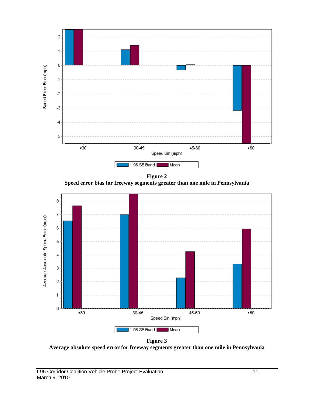

**Figure 2 Speed error bias for freeway segments greater than one mile in Pennsylvania** 



**Figure 3 Average absolute speed error for freeway segments greater than one mile in Pennsylvania**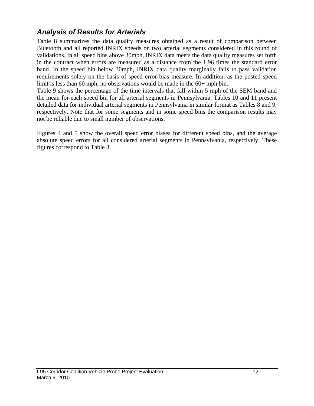## *Analysis of Results for Arterials*

Table 8 summarizes the data quality measures obtained as a result of comparison between Bluetooth and all reported INRIX speeds on two arterial segments considered in this round of validations. In all speed bins above 30mph, INRIX data meets the data quality measures set forth in the contract when errors are measured as a distance from the 1.96 times the standard error band. In the speed bin below 30mph, INRIX data quality marginally fails to pass validation requirements solely on the basis of speed error bias measure. In addition, as the posted speed limit is less than 60 mph, no observations would be made in the 60+ mph bin.

Table 9 shows the percentage of the time intervals that fall within 5 mph of the SEM band and the mean for each speed bin for all arterial segments in Pennsylvania. Tables 10 and 11 present detailed data for individual arterial segments in Pennsylvania in similar format as Tables 8 and 9, respectively. Note that for some segments and in some speed bins the comparison results may not be reliable due to small number of observations.

Figures 4 and 5 show the overall speed error biases for different speed bins, and the average absolute speed errors for all considered arterial segments in Pennsylvania, respectively. These figures correspond to Table 8.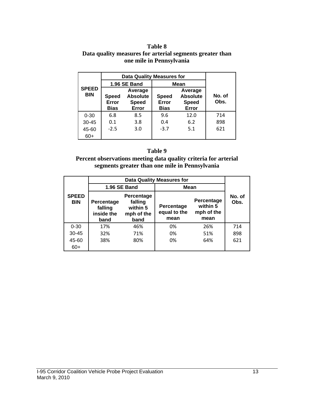#### **Table 8 Data quality measures for arterial segments greater than one mile in Pennsylvania**

|                            |                                                                                             | <b>Data Quality Measures for</b> |                                      |                                                     |                |
|----------------------------|---------------------------------------------------------------------------------------------|----------------------------------|--------------------------------------|-----------------------------------------------------|----------------|
|                            |                                                                                             | 1.96 SE Band                     | Mean                                 |                                                     |                |
| <b>SPEED</b><br><b>BIN</b> | Average<br><b>Absolute</b><br><b>Speed</b><br>Error<br><b>Speed</b><br>Error<br><b>Bias</b> |                                  | <b>Speed</b><br>Error<br><b>Bias</b> | Average<br><b>Absolute</b><br><b>Speed</b><br>Error | No. of<br>Obs. |
| $0 - 30$                   | 6.8                                                                                         | 8.5                              | 9.6                                  | 12.0                                                | 714            |
| 30-45                      | 0.1                                                                                         | 3.8                              | 0.4                                  | 6.2                                                 | 898            |
| 45-60                      | $-2.5$                                                                                      | 3.0                              |                                      | $-3.7$<br>5.1                                       |                |
| 60+                        |                                                                                             |                                  |                                      |                                                     |                |

#### **Table 9**

#### **Percent observations meeting data quality criteria for arterial segments greater than one mile in Pennsylvania**

|                            |                                                                                                        |              | <b>Data Quality Measures for</b>   |                                              |                |
|----------------------------|--------------------------------------------------------------------------------------------------------|--------------|------------------------------------|----------------------------------------------|----------------|
|                            |                                                                                                        | 1.96 SE Band | <b>Mean</b>                        |                                              |                |
| <b>SPEED</b><br><b>BIN</b> | Percentage<br>falling<br>Percentage<br>within 5<br>falling<br>inside the<br>mph of the<br>band<br>band |              | Percentage<br>equal to the<br>mean | Percentage<br>within 5<br>mph of the<br>mean | No. of<br>Obs. |
| $0 - 30$                   | 17%                                                                                                    | 46%          | 0%                                 | 26%                                          | 714            |
| $30 - 45$                  | 32%                                                                                                    | 71%          | 0%                                 | 51%                                          | 898            |
| 45-60                      | 38%<br>80%                                                                                             |              | 0%                                 | 64%                                          | 621            |
| $60+$                      |                                                                                                        |              |                                    |                                              |                |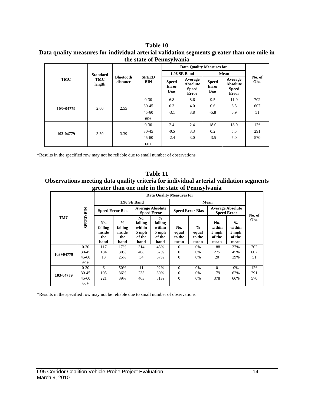#### **Table 10 Data quality measures for individual arterial validation segments greater than one mile in the state of Pennsylvania**

|             |                 |                              |              |                                      | <b>Data Quality Measures for</b>                           |                                      |                                                            |                |
|-------------|-----------------|------------------------------|--------------|--------------------------------------|------------------------------------------------------------|--------------------------------------|------------------------------------------------------------|----------------|
|             | <b>Standard</b> |                              | <b>SPEED</b> |                                      | 1.96 SE Band                                               |                                      | Mean                                                       |                |
| <b>TMC</b>  | TMC<br>length   | <b>Bluetooth</b><br>distance | <b>BIN</b>   | <b>Speed</b><br>Error<br><b>Bias</b> | Average<br><b>Absolute</b><br><b>Speed</b><br><b>Error</b> | <b>Speed</b><br>Error<br><b>Bias</b> | Average<br><b>Absolute</b><br><b>Speed</b><br><b>Error</b> | No. of<br>Obs. |
|             |                 |                              | $0 - 30$     | 6.8                                  | 8.6                                                        | 9.5                                  | 11.9                                                       | 702            |
| $103+04779$ | 2.60            | 2.55                         | $30 - 45$    | 0.3                                  | 4.0                                                        | 0.6                                  | 6.5                                                        | 607            |
|             |                 |                              | $45 - 60$    | $-3.1$                               | 3.8                                                        | $-5.8$                               | 6.9                                                        | 51             |
|             |                 |                              | $60+$        |                                      |                                                            |                                      |                                                            |                |
|             |                 |                              | $0 - 30$     | 2.4                                  | 2.4                                                        | 18.0                                 | 18.0                                                       | $12*$          |
| 103-04779   | 3.39            | 3.39                         | $30 - 45$    | $-0.5$                               | 3.3                                                        | 0.2                                  | 5.5                                                        | 291            |
|             |                 |                              | $45 - 60$    | $-2.4$                               | 3.0                                                        | $-3.5$                               | 5.0                                                        | 570            |
|             |                 |                              | $60+$        |                                      |                                                            |                                      |                                                            |                |

\*Results in the specified row may not be reliable due to small number of observations

#### **Table 11 Observations meeting data quality criteria for individual arterial validation segments greater than one mile in the state of Pennsylvania**

| TMC           | <b>SPEED BIN</b> | o<br><b>Data Quality Measures for</b>   |                                                   |                                                     |                                                               |                                |                                          |                                               |                                                    |        |
|---------------|------------------|-----------------------------------------|---------------------------------------------------|-----------------------------------------------------|---------------------------------------------------------------|--------------------------------|------------------------------------------|-----------------------------------------------|----------------------------------------------------|--------|
|               |                  | <b>1.96 SE Band</b>                     |                                                   |                                                     |                                                               | Mean                           |                                          |                                               |                                                    |        |
|               |                  | <b>Speed Error Bias</b>                 |                                                   | <b>Average Absolute</b><br><b>Speed Error</b>       |                                                               | <b>Speed Error Bias</b>        |                                          | <b>Average Absolute</b><br><b>Speed Error</b> |                                                    | No. of |
|               |                  | No.<br>falling<br>inside<br>the<br>band | $\frac{0}{0}$<br>falling<br>inside<br>the<br>band | No.<br>falling<br>within<br>5 mph<br>of the<br>band | $\frac{0}{0}$<br>falling<br>within<br>5 mph<br>of the<br>band | No.<br>equal<br>to the<br>mean | $\frac{0}{0}$<br>equal<br>to the<br>mean | No.<br>within<br>5 mph<br>of the<br>mean      | $\frac{6}{9}$<br>within<br>5 mph<br>of the<br>mean | Obs.   |
| $103 + 04779$ | $0 - 30$         | 117                                     | 17%                                               | 314                                                 | 45%                                                           | $\Omega$                       | 0%                                       | 188                                           | 27%                                                | 702    |
|               | $30 - 45$        | 184                                     | 30%                                               | 408                                                 | 67%                                                           | $\mathbf{0}$                   | 0%                                       | 275                                           | 45%                                                | 607    |
|               | $45 - 60$        | 13                                      | 25%                                               | 34                                                  | 67%                                                           | $\theta$                       | 0%                                       | 20                                            | 39%                                                | 51     |
|               | $60+$            |                                         |                                                   |                                                     |                                                               |                                |                                          |                                               |                                                    |        |
| 103-04779     | $0 - 30$         | 6                                       | 50%                                               | 11                                                  | 92%                                                           | $\mathbf{0}$                   | 0%                                       | $\theta$                                      | 0%                                                 | $12*$  |
|               | $30 - 45$        | 105                                     | 36%                                               | 233                                                 | 80%                                                           | $\mathbf{0}$                   | 0%                                       | 179                                           | 62%                                                | 291    |
|               | $45 - 60$        | 221                                     | 39%                                               | 463                                                 | 81%                                                           | $\theta$                       | 0%                                       | 378                                           | 66%                                                | 570    |
|               | $60+$            |                                         |                                                   |                                                     |                                                               |                                |                                          |                                               |                                                    |        |

\*Results in the specified row may not be reliable due to small number of observations